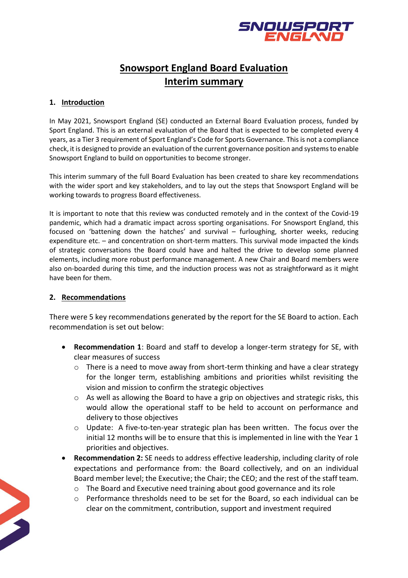

## **Snowsport England Board Evaluation Interim summary**

## **1. Introduction**

In May 2021, Snowsport England (SE) conducted an External Board Evaluation process, funded by Sport England. This is an external evaluation of the Board that is expected to be completed every 4 years, as a Tier 3 requirement of Sport England's Code for Sports Governance. This is not a compliance check, it is designed to provide an evaluation of the current governance position and systems to enable Snowsport England to build on opportunities to become stronger.

This interim summary of the full Board Evaluation has been created to share key recommendations with the wider sport and key stakeholders, and to lay out the steps that Snowsport England will be working towards to progress Board effectiveness.

It is important to note that this review was conducted remotely and in the context of the Covid-19 pandemic, which had a dramatic impact across sporting organisations. For Snowsport England, this focused on 'battening down the hatches' and survival – furloughing, shorter weeks, reducing expenditure etc. – and concentration on short-term matters. This survival mode impacted the kinds of strategic conversations the Board could have and halted the drive to develop some planned elements, including more robust performance management. A new Chair and Board members were also on-boarded during this time, and the induction process was not as straightforward as it might have been for them.

## **2. Recommendations**

There were 5 key recommendations generated by the report for the SE Board to action. Each recommendation is set out below:

- **Recommendation 1**: Board and staff to develop a longer-term strategy for SE, with clear measures of success
	- o There is a need to move away from short-term thinking and have a clear strategy for the longer term, establishing ambitions and priorities whilst revisiting the vision and mission to confirm the strategic objectives
	- $\circ$  As well as allowing the Board to have a grip on objectives and strategic risks, this would allow the operational staff to be held to account on performance and delivery to those objectives
	- $\circ$  Update: A five-to-ten-year strategic plan has been written. The focus over the initial 12 months will be to ensure that this is implemented in line with the Year 1 priorities and objectives.
- **Recommendation 2:** SE needs to address effective leadership, including clarity of role expectations and performance from: the Board collectively, and on an individual Board member level; the Executive; the Chair; the CEO; and the rest of the staff team.
	- o The Board and Executive need training about good governance and its role
	- o Performance thresholds need to be set for the Board, so each individual can be clear on the commitment, contribution, support and investment required